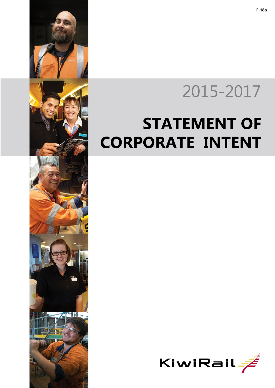

# 2015-2017

## **STATEMENT OF CORPORATE INTENT**

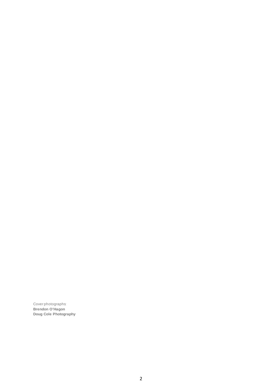Cover photographs: **Brendon O'Hagon Doug Cole Photography**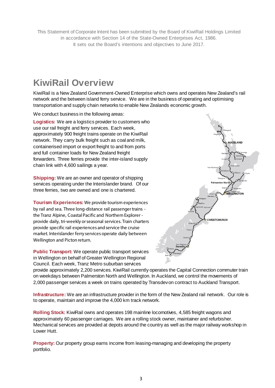This Statement of Corporate Intent has been submitted by the Board of KiwiRail Holdings Limited in accordance with Section 14 of the State-Owned Enterprises Act, 1986. It sets out the Board's intentions and objectives to June 2017.

### **KiwiRail Overview**

KiwiRail is a New Zealand Government-Owned Enterprise which owns and operates New Zealand's rail network and the between island ferry service. We are in the business of operating and optimising transportation and supply chain networks to enable New Zealands economic growth.

We conduct business in the following areas:

**Logistics:** We are a logistics provider to customers who use our rail freight and ferry services. Each week, approximately 900 freight trains operate on the KiwiRail network. They carry bulk freight such as coal and milk, containerised import or export freight to and from ports and full container loads for New Zealand freight forwarders. Three ferries provide the inter-island supply chain link with 4,600 sailings a year.

**Shipping:** We are an owner and operator of shipping services operating under the Interislander brand. Of our three ferries, two are owned and one is chartered.

**Tourism Experiences:** We provide tourism experiences by rail and sea. Three long-distance rail passenger trains the Tranz Alpine, Coastal Pacific and Northern Explorer provide daily, tri-weekly or seasonal services. Train charters provide specific rail experiences and service the cruise market. Interislander ferry services operate daily between Wellington and Picton return.

**Public Transport:** We operate public transport services in Wellington on behalf of Greater Wellington Regional Council. Each week, Tranz Metro suburban services



provide approximately 2,200 services. KiwiRail currently operates the Capital Connection commuter train on weekdays between Palmerston North and Wellington. In Auckland, we control the movements of 2,000 passenger services a week on trains operated by Transdev on contract to Auckland Transport.

**Infrastructure:** We are an infrastructure provider in the form of the New Zealand rail network. Our role is to operate, maintain and improve the 4,000 km track network.

**Rolling Stock:** KiwiRail owns and operates 198 mainline locomotives, 4,585 freight wagons and approximately 60 passenger carriages. We are a rolling stock owner, maintainer and refurbisher. Mechanical services are provided at depots around the country as well as the major railway workshop in Lower Hutt.

**Property:** Our property group earns income from leasing-managing and developing the property portfolio.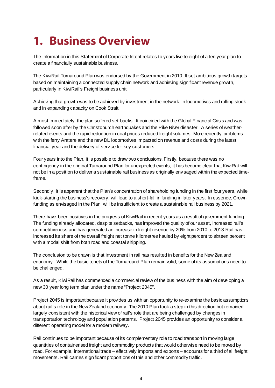### **1. Business Overview**

The information in this Statement of Corporate Intent relates to years five to eight of a ten year plan to create a financially sustainable business.

The KiwiRail Turnaround Plan was endorsed by the Government in 2010. It set ambitious growth targets based on maintaining a connected supply chain network and achieving significant revenue growth, particularly in KiwiRail's Freight business unit.

Achieving that growth was to be achieved by investment in the network, in locomotives and rolling stock and in expanding capacity on Cook Strait.

Almost immediately, the plan suffered set-backs. It coincided with the Global Financial Crisis and was followed soon after by the Christchurch earthquakes and the Pike River disaster. A series of weatherrelated events and the rapid reduction in coal prices reduced freight volumes. More recently, problems with the ferry Aratere and the new DL locomotives impacted on revenue and costs during the latest financial year and the delivery of service for key customers.

Four years into the Plan, it is possible to draw two conclusions. Firstly, because there was no contingency in the original Turnaround Plan for unexpected events, it has become clear that KiwiRail will not be in a position to deliver a sustainable rail business as originally envisaged within the expected timeframe.

Secondly, it is apparent that the Plan's concentration of shareholding funding in the first four years, while kick-starting the business's recovery, will lead to a short-fall in funding in later years. In essence, Crown funding as envisaged in the Plan, will be insufficient to create a sustainable rail business by 2021.

There have been positives in the progress of KiwiRail in recent years as a result of government funding. The funding already allocated, despite setbacks, has improved the quality of our asset, increased rail's competitiveness and has generated an increase in freight revenue by 20% from 2010 to 2013.Rail has increased its share of the overall freight net tonne kilometres hauled by eight percent to sixteen percent with a modal shift from both road and coastal shipping.

The conclusion to be drawn is that investment in rail has resulted in benefits for the New Zealand economy. While the basic tenets of the Turnaround Plan remain valid, some of its assumptions need to be challenged.

As a result, KiwiRail has commenced a commercial review of the business with the aim of developing a new 30 year long term plan under the name "Project 2045".

Project 2045 is important because it provides us with an opportunity to re-examine the basic assumptions about rail's role in the New Zealand economy. The 2010 Plan took a step in this direction but remained largely consistent with the historical view of rail's role that are being challenged by changes in transportation technology and population patterns. Project 2045 provides an opportunity to consider a different operating model for a modern railway.

Rail continues to be important because of its complementary role to road transport in moving large quantities of containerised freight and commodity products that would otherwise need to be moved by road. For example, international trade – effectively imports and exports – accounts for a third of all freight movements. Rail carries significant proportions of this and other commodity traffic.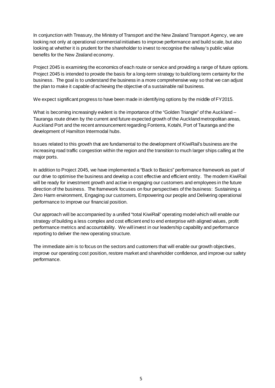In conjunction with Treasury, the Ministry of Transport and the New Zealand Transport Agency, we are looking not only at operational commercial initiatives to improve performance and build scale, but also looking at whether it is prudent for the shareholder to invest to recognise the railway's public value benefits for the New Zealand economy.

Project 2045 is examining the economics of each route or service and providing a range of future options. Project 2045 is intended to provide the basis for a long-term strategy to build long term certainty for the business. The goal is to understand the business in a more comprehensive way so that we can adjust the plan to make it capable of achieving the objective of a sustainable rail business.

We expect significant progress to have been made in identifying options by the middle of FY2015.

What is becoming increasingly evident is the importance of the "Golden Triangle" of the Auckland – Tauranga route driven by the current and future expected growth of the Auckland metropolitan areas, Auckland Port and the recent announcement regarding Fonterra, Kotahi, Port of Tauranga and the development of Hamilton Intermodal hubs.

Issues related to this growth that are fundamental to the development of KiwiRail's business are the increasing road traffic congestion within the region and the transition to much larger ships calling at the major ports.

In addition to Project 2045, we have implemented a "Back to Basics" performance framework as part of our drive to optimise the business and develop a cost effective and efficient entity. The modern KiwiRail will be ready for investment growth and active in engaging our customers and employees in the future direction of the business. The framework focuses on four perspectives of the business: Sustaining a Zero Harm environment, Engaging our customers, Empowering our people and Delivering operational performance to improve our financial position.

Our approach will be accompanied by a unified "total KiwiRail" operating model which will enable our strategy of building a less complex and cost efficient end to end enterprise with aligned values, profit performance metrics and accountability. We will invest in our leadership capability and performance reporting to deliver the new operating structure.

The immediate aim is to focus on the sectors and customers that will enable our growth objectives, improve our operating cost position, restore market and shareholder confidence, and improve our safety performance.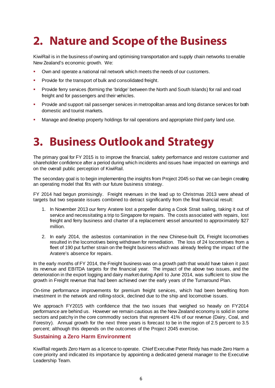### **2. Nature and Scope of the Business**

KiwiRail is in the business of owning and optimising transportation and supply chain networks to enable New Zealand's economic growth. We:

- Own and operate a national rail network which meets the needs of our customers.
- **Provide for the transport of bulk and consolidated freight.**
- Provide ferry services (forming the 'bridge' between the North and South Islands) for rail and road freight and for passengers and their vehicles.
- **Provide and support rail passenger services in metropolitan areas and long distance services for both in the strange rate of the strange in the strange in the strange in the strange in the strange in the strange in the st** domestic and tourist markets.
- Manage and develop property holdings for rail operations and appropriate third party land use.

### **3. Business Outlook and Strategy**

The primary goal for FY 2015 is to improve the financial, safety performance and restore customer and shareholder confidence after a period during which incidents and issues have impacted on earnings and on the overall public perception of KiwiRail.

The secondary goal is to begin implementing the insights from Project 2045 so that we can begin creating an operating model that fits with our future business strategy.

FY 2014 had begun promisingly. Freight revenues in the lead up to Christmas 2013 were ahead of targets but two separate issues combined to detract significantly from the final financial result:

- 1. In November 2013 our ferry Aratere lost a propeller during a Cook Strait sailing, taking it out of service and necessitating a trip to Singapore for repairs. The costs associated with repairs, lost freight and ferry business and charter of a replacement vessel amounted to approximately \$27 million.
- 2. In early 2014, the asbestos contamination in the new Chinese-built DL Freight locomotives resulted in the locomotives being withdrawn for remediation. The loss of 24 locomotives from a fleet of 190 put further strain on the freight business which was already feeling the impact of the Aratere's absence for repairs.

In the early months of FY 2014, the Freight business was on a growth path that would have taken it past its revenue and EBITDA targets for the financial year. The impact of the above two issues, and the deterioration in the export logging and dairy market during April to June 2014, was sufficient to slow the growth in Freight revenue that had been achieved over the early years of the Turnaround Plan.

On-time performance improvements for premium freight services, which had been benefiting from investment in the network and rolling-stock, declined due to the ship and locomotive issues.

We approach FY2015 with confidence that the two issues that weighed so heavily on FY2014 performance are behind us. However we remain cautious as the New Zealand economy is solid in some sectors and patchy in the core commodity sectors that represent 41% of our revenue (Dairy, Coal, and Forestry). Annual growth for the next three years is forecast to be in the region of 2.5 percent to 3.5 percent; although this depends on the outcomes of the Project 2045 exercise.

#### **Sustaining a Zero Harm Environment**

KiwiRail regards Zero Harm as a licence to operate. Chief Executive Peter Reidy has made Zero Harm a core priority and indicated its importance by appointing a dedicated general manager to the Executive Leadership Team.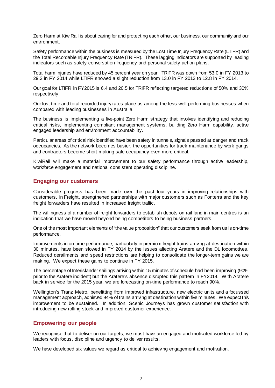Zero Harm at KiwiRail is about caring for and protecting each other, our business, our community and our environment.

Safety performance within the business is measured by the Lost Time Injury Frequency Rate (LTIFR) and the Total Recordable Injury Frequency Rate (TRIFR). These lagging indicators are supported by leading indicators such as safety conversation frequency and personal safety action plans.

Total harm injuries have reduced by 45 percent year on year. TRIFR was down from 53.0 in FY 2013 to 29.3 in FY 2014 while LTIFR showed a slight reduction from 13.0 in FY 2013 to 12.8 in FY 2014.

Our goal for LTIFR in FY2015 is 6.4 and 20.5 for TRIFR reflecting targeted reductions of 50% and 30% respectively.

Our lost time and total recorded injury rates place us among the less well performing businesses when compared with leading businesses in Australia.

The business is implementing a five-point Zero Harm strategy that involves identifying and reducing critical risks, implementing compliant management systems, building Zero Harm capability, active engaged leadership and environment accountability.

Particular areas of critical risk identified have been safety in tunnels, signals passed at danger and track occupancies. As the network becomes busier, the opportunities for track maintenance by work gangs and contractors become short making safe occupancy even more critical.

KiwiRail will make a material improvement to our safety performance through active leadership, workforce engagement and national consistent operating discipline.

#### **Engaging our customers**

Considerable progress has been made over the past four years in improving relationships with customers. In Freight, strengthened partnerships with major customers such as Fonterra and the key freight forwarders have resulted in increased freight traffic.

The willingness of a number of freight forwarders to establish depots on rail land in main centres is an indication that we have moved beyond being competitors to being business partners.

One of the most important elements of "the value proposition" that our customers seek from us is on-time performance.

Improvements in on-time performance, particularly in premium freight trains arriving at destination within 30 minutes, have been slowed in FY 2014 by the issues affecting Aratere and the DL locomotives. Reduced derailments and speed restrictions are helping to consolidate the longer-term gains we are making. We expect these gains to continue in FY 2015.

The percentage of Interislander sailings arriving within 15 minutes of schedule had been improving (90% prior to the Aratere incident) but the Aratere's absence disrupted this pattern in FY2014. With Aratere back in service for the 2015 year, we are forecasting on-time performance to reach 90%.

Wellington's Tranz Metro, benefitting from improved infrastructure, new electric units and a focussed management approach, achieved 94% of trains arriving at destination within five minutes. We expect this improvement to be sustained. In addition, Scenic Journeys has grown customer satisfaction with introducing new rolling stock and improved customer experience.

#### **Empowering our people**

We recognise that to deliver on our targets, we must have an engaged and motivated workforce led by leaders with focus, discipline and urgency to deliver results.

We have developed six values we regard as critical to achieving engagement and motivation.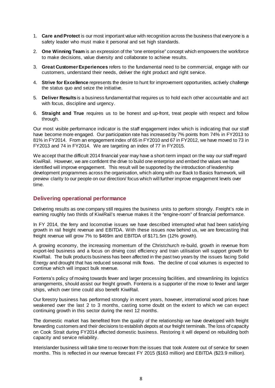- 1. **Care and Protect** is our most important value with recognition across the business that everyone is a safety leader who must make it personal and set high standards.
- 2. **One Winning Team** is an expression of the "one enterprise" concept which empowers the workforce to make decisions, value diversity and collaborate to achieve results.
- 3. **Great Customer Experiences** refers to the fundamental need to be commercial, engage with our customers, understand their needs, deliver the right product and right service.
- 4. **Strive for Excellence** represents the desire to hunt for improvement opportunities, actively challenge the status quo and seize the initiative.
- 5. **Deliver Results**is a business fundamental that requires us to hold each other accountable and act with focus, discipline and urgency.
- 6. **Straight and True** requires us to be honest and up-front, treat people with respect and follow through.

Our most visible performance indicator is the staff engagement index which is indicating that our staff have become more engaged. Our participation rate has increased by 7% points from 74% in FY2013 to 81% in FY2014. From an engagement index of 65 in FY2010 and 67 in FY2012, we have moved to 73 in FY2013 and 74 in FY2014. We are targeting an index of 77 in FY2015.

We accept that the difficult 2014 financial year may have a short-term impact on the way our staff regard KiwiRail. However, we are confident the drive to build one enterprise and embed the values we have identified will improve engagement. This result will be supported by the introduction of leadership development programmes across the organisation, which along with our Back to Basics framework, will preview clarity to our people on our direction/ focus which will further improve engagement levels over time.

#### **Delivering operational performance**

Delivering results as one company still requires the business units to perform strongly. Freight's role in earning roughly two thirds of KiwiRail's revenue makes it the "engine-room" of financial performance.

In FY 2014, the ferry and locomotive issues we have described interrupted what had been satisfying growth in rail freight revenue and EBITDA. With these issues now behind us, we are forecasting that freight revenue will grow 7% to \$469m and EBITDA of \$171.5m (12% growth).

A growing economy, the increasing momentum of the Christchurch re-build, growth in revenue from export-led business and a focus on driving cost efficiency and train utilisation will support growth for KiwiRail. The bulk products business has been affected in the past two years by the issues facing Solid Energy and drought that has reduced seasonal milk flows. The decline of coal volumes is expected to continue which will impact bulk revenue.

Fonterra's policy of moving towards fewer and larger processing facilities, and streamlining its logistics arrangements, should assist our freight growth. Fonterra is a supporter of the move to fewer and larger ships, which over time could also benefit KiwiRail.

Our forestry business has performed strongly in recent years, however, international wood prices have weakened over the last 2 to 3 months, casting some doubt on the extent to which we can expect continuing growth in this sector during the next 12 months.

The domestic market has benefited from the quality of the relationship we have developed with freight forwarding customers and their decisions to establish depots at our freight terminals. The loss of capacity on Cook Strait during FY2014 affected domestic business. Restoring it will depend on rebuilding both capacity and service reliability.

Interislander business will take time to recover from the issues that took Aratere out of service for seven months. This is reflected in our revenue forecast FY 2015 (\$163 million) and EBITDA (\$23.9 million).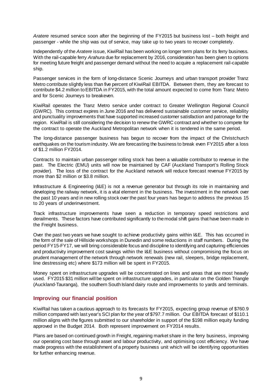*Aratere* resumed service soon after the beginning of the FY2015 but business lost – both freight and passenger - while the ship was out of service, may take up to two years to recover completely.

Independently of the *Aratere* issue, KiwiRail has been working on longer term plans for its ferry business. With the rail-capable ferry *Arahura* due for replacement by 2016, consideration has been given to options for meeting future freight and passenger demand without the need to acquire a replacement rail-capable ship.

Passenger services in the form of long-distance Scenic Journeys and urban transport provider Tranz Metro contribute slightly less than five percent of KiwiRail EBITDA. Between them, they are forecast to contribute \$4.2 million to EBITDA in FY2015, with the total amount expected to come from Tranz Metro and for Scenic Journeys to breakeven.

KiwiRail operates the Tranz Metro service under contract to Greater Wellington Regional Council (GWRC). This contract expires in June 2016 and has delivered sustainable customer service, reliability and punctuality improvements that have supported increased customer satisfaction and patronage for the region. KiwiRail is still considering the decision to renew the GWRC contract and whether to compete for the contract to operate the Auckland Metropolitan network when it is tendered in the same period.

The long-distance passenger business has begun to recover from the impact of the Christchurch earthquakes on the tourism industry. We are forecasting the business to break even FY2015 after a loss of \$1.2 million FY2014.

Contracts to maintain urban passenger rolling stock has been a valuable contributor to revenue in the past. The Electric (EMU) units will now be maintained by CAF (Auckland Transport's Rolling Stock provider). The loss of the contract for the Auckland network will reduce forecast revenue FY2015 by more than \$2 million or \$3.8 million.

Infrastructure & Engineering (I&E) is not a revenue generator but through its role in maintaining and developing the railway network, it is a vital element in the business. The investment in the network over the past 10 years and in new rolling stock over the past four years has begun to address the previous 15 to 20 years of underinvestment.

Track infrastructure improvements have seen a reduction in temporary speed restrictions and derailments. These factors have contributed significantly to the modal shift gains that have been made in the Freight business.

Over the past two years we have sought to achieve productivity gains within I&E. This has occurred in the form of the sale of Hillside workshops in Dunedin and some reductions in staff numbers. During the period FY15-FY17, we will bring considerable focus and discipline to identifying and capturing efficiencies and productivity improvement cost savings within the I&E business without compromising the focus on prudent management of the network through network renewals (new rail, sleepers, bridge replacement, line destressing etc) where \$173 million will be spent in FY2015.

Money spent on infrastructure upgrades will be concentrated on lines and areas that are most heavily used. FY2015 \$31 million will be spent on infrastructure upgrades, in particular on the Golden Triangle (Auckland-Tauranga), the southern South Island dairy route and improvements to yards and terminals.

#### **Improving our financial position**

KiwiRail has taken a cautious approach to its forecasts for FY2015, expecting group revenue of \$760.9 million compared with last year's SCI plan for the year of \$797.7 million. Our EBITDA forecast of \$110.1 million aligns with the figures submitted to our shareholder in support of the \$198 million equity funding approved in the Budget 2014. Both represent improvement on FY2014 results.

Plans are based on continued growth in Freight, regaining market share in the ferry business, improving our operating cost base through asset and labour productivity, and optimising cost efficiency. We have made progress with the establishment of a property business unit which will be identifying opportunities for further enhancing revenue.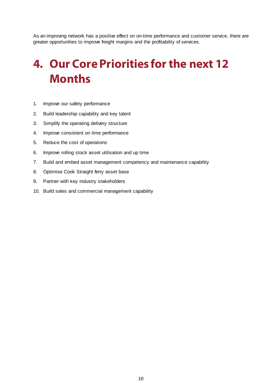As an improving network has a positive effect on on-time performance and customer service, there are greater opportunities to improve freight margins and the profitability of services.

### **4. Our Core Priorities for the next 12 Months**

- 1. Improve our safety performance
- 2. Build leadership capability and key talent
- 3. Simplify the operating delivery structure
- 4. Improve consistent on time performance
- 5. Reduce the cost of operations
- 6. Improve rolling stock asset utilisation and up time
- 7. Build and embed asset management competency and maintenance capability
- 8. Optimise Cook Straight ferry asset base
- 9. Partner with key industry stakeholders
- 10. Build sales and commercial management capability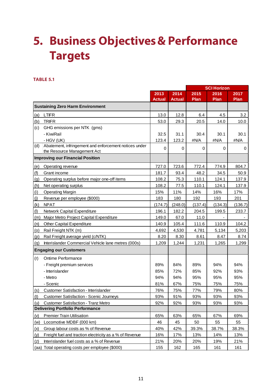### **5. Business Objectives & Performance Targets**

#### **TABLE 5.1**

|                               |                                                         |               |               | <b>SCI Horizon</b> |         |         |
|-------------------------------|---------------------------------------------------------|---------------|---------------|--------------------|---------|---------|
|                               |                                                         | 2013          | 2014          | 2015               | 2016    | 2017    |
|                               |                                                         | <b>Actual</b> | <b>Actual</b> | Plan               | Plan    | Plan    |
|                               | <b>Sustaining Zero Harm Environment</b>                 |               |               |                    |         |         |
| (a)                           | <b>LTIFR</b>                                            | 13.0          | 12.8          | 6.4                | 4.5     | 3.2     |
| (b)                           | <b>TRIFR</b>                                            | 53.0          | 29.3          | 20.5               | 14.0    | 10.0    |
| (c)                           | GHG emissions per NTK (gms)                             |               |               |                    |         |         |
|                               | - KiwiRail                                              | 32.5          | 31.1          | 30.4               | 30.1    | 30.1    |
|                               | - HGV (UK)                                              | 123.4         | 123.2         | #N/A               | #N/A    | #N/A    |
| (d)                           | Abatement, infringement and enforcement notices under   | 0             | 0             | 0                  | 0       | 0       |
|                               | the Resource Management Act                             |               |               |                    |         |         |
|                               | <b>Improving our Financial Position</b>                 |               |               |                    |         |         |
| (e)                           | Operating revenue                                       | 727.0         | 723.6         | 772.4              | 774.9   | 804.7   |
| (f)                           | Grant income                                            | 181.7         | 93.4          | 48.2               | 34.5    | 50.9    |
| (g)                           | Operating surplus before major one-off items            | 108.2         | 75.3          | 110.1              | 124.1   | 137.9   |
| (h)                           | Net operating surplus                                   | 108.2         | 77.5          | 110.1              | 124.1   | 137.9   |
| (i)                           | <b>Operating Margin</b>                                 | 15%           | 11%           | 14%                | 16%     | 17%     |
| (i)                           | Revenue per employee (\$000)                            | 183           | 180           | 192                | 193     | 201     |
| (k)                           | <b>NPAT</b>                                             | (174.7)       | (248.0)       | (137.4)            | (134.3) | (136.7) |
| (1)                           | Network Capital Expenditure                             | 196.1         | 182.2         | 204.5              | 199.5   | 233.7   |
| (m)                           | Major Metro Project Capital Expenditure                 | 149.0         | 67.0          | 11.0               |         |         |
| (n)                           | Other Capital Expenditure                               | 140.9         | 105.4         | 111.6              | 110.9   | 104.2   |
| (0)                           | Rail Freight NTK (m)                                    | 4,692         | 4,530         | 4,781              | 5,134   | 5,203   |
| (p)                           | Rail Freight average yield (c/NTK)                      | 8.20          | 8.30          | 8.61               | 8.47    | 8.74    |
| (q)                           | Interislander Commercial Vehicle lane metres (000s)     | 1,209         | 1,244         | 1,231              | 1,265   | 1,299   |
| <b>Engaging our Customers</b> |                                                         |               |               |                    |         |         |
| (r)                           | Ontime Performance                                      |               |               |                    |         |         |
|                               | - Freight premium services                              | 89%           | 84%           | 89%                | 94%     | 94%     |
|                               | - Interislander                                         | 85%           | 72%           | 85%                | 92%     | 93%     |
|                               | - Metro                                                 | 94%           | 94%           | 95%                | 95%     | 95%     |
|                               | - Scenic                                                | 81%           | 67%           | 75%                | 75%     | 75%     |
| (s)                           | Customer Satisfaction - Interislander                   | 76%           | 75%           | 77%                | 79%     | 80%     |
| (t)                           | <b>Customer Satisfaction - Scenic Journeys</b>          | 93%           | 91%           | 93%                | 93%     | 93%     |
| (u)                           | <b>Customer Satisfaction - Tranz Metro</b>              | 92%           | 92%           | 93%                | 93%     | 93%     |
|                               | <b>Delivering Portfolio Performance</b>                 |               |               |                    |         |         |
| (v)                           | <b>Premier Train Utilisation</b>                        | 65%           | 63%           | 65%                | 67%     | 69%     |
| (w)                           | Locomotive MDBF (000 km)                                | 46            | 45            | 50                 | 55      | 55      |
| (x)                           | Group labour costs as % of Revenue                      | 40%           | 42%           | 39.3%              | 38.7%   | 38.3%   |
| (y)                           | Freight fuel and traction electricity as a % of Revenue | 16%           | 17%           | 13%                | 14%     | 13%     |
| (z)                           | Interislander fuel costs as a % of Revenue              | 21%           | 20%           | 20%                | 19%     | 21%     |
|                               | (aa) Total operating costs per employee (\$000)         | 155           | 162           | 165                | 161     | 161     |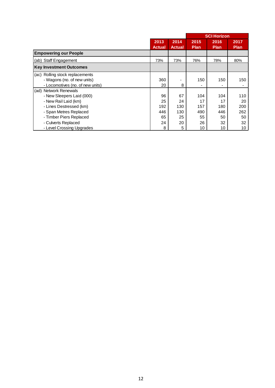|                                  |               |               |             | <b>SCI Horizon</b> |             |  |
|----------------------------------|---------------|---------------|-------------|--------------------|-------------|--|
|                                  | 2013          | 2014          | 2015        | 2016               | 2017        |  |
|                                  | <b>Actual</b> | <b>Actual</b> | <b>Plan</b> | <b>Plan</b>        | <b>Plan</b> |  |
| <b>Empowering our People</b>     |               |               |             |                    |             |  |
| (ab) Staff Engagement            | 73%           | 73%           | 76%         | 78%                | 80%         |  |
| <b>Key Investment Outcomes</b>   |               |               |             |                    |             |  |
| (ac) Rolling stock replacements  |               |               |             |                    |             |  |
| - Wagons (no. of new units)      | 360           |               | 150         | 150                | 150         |  |
| - Locomotives (no. of new units) | 20            | 8             |             |                    |             |  |
| (ad) Network Renewals            |               |               |             |                    |             |  |
| - New Sleepers Laid (000)        | 96            | 67            | 104         | 104                | 110         |  |
| - New Rail Laid (km)             | 25            | 24            | 17          | 17                 | 20          |  |
| - Lines Destressed (km)          | 192           | 130           | 157         | 180                | 200         |  |
| - Span Metres Replaced           | 446           | 130           | 490         | 446                | 262         |  |
| - Timber Piers Replaced          | 65            | 25            | 55          | 50                 | 50          |  |
| - Culverts Replaced              | 24            | 20            | 26          | 32                 | 32          |  |
| - Level Crossing Upgrades        | 8             | 5             | 10          | 10                 | 10          |  |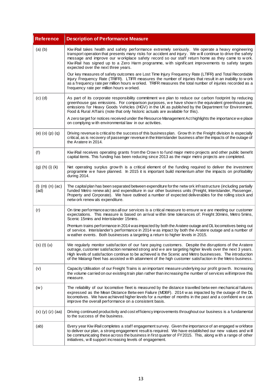| <b>Reference</b>             | <b>Description of Performance Measure</b>                                                                                                                                                                                                                                                                                                                                                                                                                     |
|------------------------------|---------------------------------------------------------------------------------------------------------------------------------------------------------------------------------------------------------------------------------------------------------------------------------------------------------------------------------------------------------------------------------------------------------------------------------------------------------------|
| $(a)$ $(b)$                  | Kiw iRail takes health and safety performance extremely seriously. We operate a heavy engineering<br>transport operation that presents many risks for accident and injury. We will continue to drive the safety<br>message and improve our workplace safety record so our staff return home as they came to work.<br>Kiw iRail has signed up to a Zero Harm programme, with significant improvements to safety targets<br>expected over the next three years. |
|                              | Our key measures of safety outcomes are Lost Time Injury Frequency Rate (LTIFR) and Total Recordable<br>Injury Frequency Rate (TRIFR). LTIFR measures the number of injuries that result in an inability to w ork<br>as a frequency rate per million hours w orked. TRIFR measures the total number of injuries recorded as a<br>frequency rate per million hours w orked.                                                                                    |
| $(c)$ $(d)$                  | As part of its corporate responsibility commitment we plan to reduce our carbon footprint by reducing<br>greenhouse gas emissions. For comparison purposes, we have shown the equivalent greenhouse gas<br>emissions for Heavy Goods Vehicles (HGV) in the UK as published by the Department for Environment,<br>Food & Rural Affairs (note that only historic actuals are available for this).                                                               |
|                              | A zero target for notices received under the Resource Management Act highlights the importance we place<br>on complying with environmental law in our activities.                                                                                                                                                                                                                                                                                             |
| $(e)$ $(o)$ $(p)$ $(q)$      | Driving revenue is critical to the success of this business plan. Grow th in the Freight division is especially<br>critical, as is recovery of passenger revenue in the Interislander business after the impacts of the outage of<br>the Aratere in 2014.                                                                                                                                                                                                     |
| (f)                          | Kiw iRail receives operating grants from the Crow n to fund major metro projects and other public benefit<br>capital items. This funding has been reducing since 2013 as the major metro projects are completed.                                                                                                                                                                                                                                              |
| $(g)$ (h) (i) (k)            | Net operating surplus grow th is a critical element of the funding required to deliver the investment<br>programme we have planned. In 2015 it is important build momentum after the impacts on profitability<br>during 2014.                                                                                                                                                                                                                                 |
| $(l)$ (m) $(n)$ (ac)<br>(ad) | The capital plan has been separated between expenditure for the netw ork infrastructure (including partially<br>funded Metro renew als) and expenditure in our other business units (Freight, Interislander, Passenger,<br>Property and Corporate). We have outlined a number of expected deliverables for the rolling stock and<br>netw ork renew als expenditure.                                                                                           |
| (r)                          | On time performance across all our services is a critical measure to ensure we are meeting our customer<br>expectations. This measure is based on arrival within time tolerances of: Freight 30mins, Metro 5mins,<br>Scenic 15mins and Interislander 15mins.                                                                                                                                                                                                  |
|                              | Premium trains performance in 2014 was impacted by both the Aratere outage and DL locomotives being out<br>of service. Interislander's performance in 2014 w as impact by both the Aratere outage and a number of<br>w eather events. Both businesses a targeting a return to higher levels in 2015.                                                                                                                                                          |
| $(s)$ (t) $(u)$              | We regularly monitor satisfaction of our fare paying customers. Despite the disruptions of the Aratere<br>outrage, customer satisfaction remained strong and we are targeting higher levels over the next 3 years.<br>High levels of satisfaction continue to be achieved is the Scenic and Metro businesses. The introduction<br>of the Matangi fleet has assisted with attainment of the high customer satisfaction in the Metro business.                  |
| (v)                          | Capacity Utilisation of our Freight Trains is an important measure underlying our profit grow th. Increasing<br>the volume carried on our existing train plan rather than increasing the number of services will improve this<br>measure.                                                                                                                                                                                                                     |
| (w)                          | The reliability of our locomotive fleet is measured by the distance travelled betw een mechanical failures<br>expressed as the Mean Distance Betw een Failure (MDBF). 2014 w as impacted by the outage of the DL<br>locomotives. We have achieved higher levels for a number of months in the past and a confident we can<br>improve the overall performance on a consistent basis.                                                                           |
| (x) (y) (z) (aa)             | Driving continued productivity and cost efficiency improvements throughout our business is a fundamental<br>to the success of the business.                                                                                                                                                                                                                                                                                                                   |
| (ab)                         | Every year Kiw iRail completes a staff engagement survey. Given the importance of an engaged w orkforce<br>to deliver our plan, a strong engagement result is required. We have established our new values and will<br>be communicating these across the business in first quarter of FY2015. This, along with a range of other<br>initiatives, will support increasing levels of engagement.                                                                 |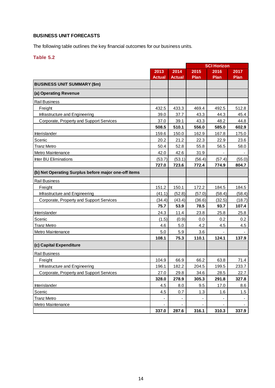#### **BUSINESS UNIT FORECASTS**

The following table outlines the key financial outcomes for our business units.

#### **Table 5.2**

|                                                      |               |        | <b>SCI Horizon</b> |             |         |
|------------------------------------------------------|---------------|--------|--------------------|-------------|---------|
|                                                      | 2013          | 2014   | 2015               | 2016        | 2017    |
|                                                      | <b>Actual</b> | Actual | Plan               | <b>Plan</b> | Plan    |
| <b>BUSINESS UNIT SUMMARY (\$m)</b>                   |               |        |                    |             |         |
| (a) Operating Revenue                                |               |        |                    |             |         |
| <b>Rail Business</b>                                 |               |        |                    |             |         |
| Freight                                              | 432.5         | 433.3  | 469.4              | 492.5       | 512.8   |
| Infrastructure and Engineering                       | 39.0          | 37.7   | 43.3               | 44.3        | 45.4    |
| Corporate, Property and Support Services             | 37.0          | 39.1   | 43.3               | 48.2        | 44.8    |
|                                                      | 508.5         | 510.1  | 556.0              | 585.0       | 602.9   |
| Interislander                                        | 159.6         | 150.0  | 162.9              | 167.8       | 175.0   |
| Scenic                                               | 20.2          | 21.2   | 22.3               | 22.9        | 23.6    |
| <b>Tranz Metro</b>                                   | 50.4          | 52.8   | 55.8               | 56.5        | 58.0    |
| Metro Maintenance                                    | 42.0          | 42.6   | 31.9               |             |         |
| Inter BU Eliminations                                | (53.7)        | (53.1) | (56.4)             | (57.4)      | (55.0)  |
|                                                      | 727.0         | 723.6  | 772.4              | 774.9       | 804.7   |
| (b) Net Operating Surplus before major one-off items |               |        |                    |             |         |
| <b>Rail Business</b>                                 |               |        |                    |             |         |
| Freight                                              | 151.2         | 150.1  | 172.2              | 184.5       | 184.5   |
| Infrastructure and Engineering                       | (41.1)        | (52.8) | (57.0)             | (58.4)      | (58.4)  |
| Corporate, Property and Support Services             | (34.4)        | (43.4) | (36.6)             | (32.5)      | (18.7)  |
|                                                      | 75.7          | 53.9   | 78.5               | 93.7        | 107.4   |
| <b>Interislander</b>                                 | 24.3          | 11.4   | 23.8               | 25.8        | 25.8    |
| Scenic                                               | (1.5)         | (0.9)  | 0.0                | 0.2         | $0.2\,$ |
| Tranz Metro                                          | 4.6           | 5.0    | 4.2                | 4.5         | 4.5     |
| Metro Maintenance                                    | 5.0           | 5.9    | 3.6                |             |         |
|                                                      | 108.1         | 75.3   | 110.1              | 124.1       | 137.9   |
| (c) Capital Expenditure                              |               |        |                    |             |         |
| <b>Rail Business</b>                                 |               |        |                    |             |         |
| Freight                                              | 104.9         | 66.9   | 66.2               | 63.8        | 71.4    |
| Infrastructure and Engineering                       | 196.1         | 182.2  | 204.5              | 199.5       | 233.7   |
| Corporate, Property and Support Services             | 27.0          | 29.8   | 34.6               | 28.5        | 22.7    |
|                                                      | 328.0         | 278.9  | 305.3              | 291.8       | 327.8   |
| Interislander                                        | 4.5           | 8.0    | 9.5                | 17.0        | 8.6     |
| Scenic                                               | 4.5           | 0.7    | 1.3                | 1.6         | 1.5     |
| <b>Tranz Metro</b>                                   |               |        |                    |             |         |
| Metro Maintenance                                    |               |        |                    |             |         |
|                                                      | 337.0         | 287.6  | 316.1              | 310.3       | 337.9   |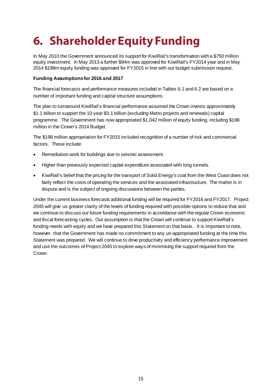## **6. Shareholder Equity Funding**

In May 2010 the Government announced its support for KiwiRail's transformation with a \$750 million equity investment. In May 2013 a further \$94m was approved for KiwiRail's FY2014 year and in May 2014 \$198m equity funding was approved for FY2015 in line with our budget submission request.

#### **Funding Assumptions for 2016 and 2017**

The financial forecasts and performance measures included in Tables 6.1 and 6.2 are based on a number of important funding and capital structure assumptions.

The plan to turnaround KiwiRail's financial performance assumed the Crown invests approximately \$1.1 billion to support the 10-year \$3.1 billion (excluding Metro projects and renewals) capital programme. The Government has now appropriated \$1,042 million of equity funding, including \$198 million in the Crown's 2014 Budget.

The \$198 million appropriation for FY2015 included recognition of a number of risk and commercial factors. These include:

- Remediation work for buildings due to seismic assessment.
- Higher than previously expected capital expenditure associated with long tunnels.
- KiwiRail's belief that the pricing for the transport of Solid Energy's coal from the West Coast does not fairly reflect the costs of operating the services and the associated infrastructure. The matter is in dispute and is the subject of ongoing discussions between the parties.

Under the current business forecasts additional funding will be required for FY2016 and FY2017. Project 2045 will give us greater clarity of the levels of funding required with possible options to reduce that and we continue to discuss our future funding requirements in accordance with the regular Crown economic and fiscal forecasting cycles. Our assumption is that the Crown will continue to support KiwiRail's funding needs with equity and we have prepared this Statement on that basis. It is important to note, however, that the Government has made no commitment to any un-appropriated funding at the time this Statement was prepared. We will continue to drive productivity and efficiency performance improvement and use the outcomes of Project 2045 to explore ways of minimising the support required from the Crown.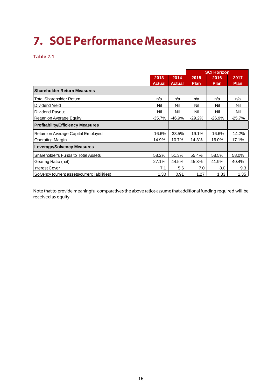## **7. SOE Performance Measures**

**Table 7.1**

|                                               |               |               |             | <b>SCI Horizon</b> |             |  |
|-----------------------------------------------|---------------|---------------|-------------|--------------------|-------------|--|
|                                               | 2013          | 2014          | 2015        | 2016               | 2017        |  |
|                                               | <b>Actual</b> | <b>Actual</b> | <b>Plan</b> | <b>Plan</b>        | <b>Plan</b> |  |
| <b>Shareholder Return Measures</b>            |               |               |             |                    |             |  |
| <b>Total Shareholder Return</b>               | n/a           | n/a           | n/a         | n/a                | n/a         |  |
| Dividend Yield                                | Nil           | Nil           | Nil         | Nil                | Nil         |  |
| Dividend Payout                               | Nil           | Nil           | Nil         | Nil                | Nil         |  |
| Return on Average Equity                      | $-35.7%$      | $-46.9%$      | $-29.2%$    | $-26.9%$           | $-25.7%$    |  |
| <b>Profitability/Efficiency Measures</b>      |               |               |             |                    |             |  |
| Return on Average Capital Employed            | $-16.6%$      | $-33.5%$      | $-19.1%$    | $-16.6%$           | $-14.2%$    |  |
| <b>Operating Margin</b>                       | 14.9%         | 10.7%         | 14.3%       | 16.0%              | 17.1%       |  |
| <b>Leverage/Solvency Measures</b>             |               |               |             |                    |             |  |
| <b>Shareholder's Funds to Total Assets</b>    | 58.2%         | 51.3%         | 55.4%       | 58.5%              | 58.0%       |  |
| Gearing Ratio (net)                           | 27.1%         | 44.5%         | 45.3%       | 41.9%              | 40.4%       |  |
| <b>Interest Cover</b>                         | 7.1           | 5.6           | 7.0         | 8.0                | 9.3         |  |
| Solvency (current assets/current liabilities) | 1.30          | 0.91          | 1.27        | 1.33               | 1.35        |  |

Note that to provide meaningful comparatives the above ratios assume that additional funding required will be received as equity.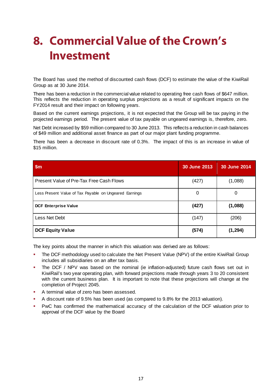### **8. Commercial Value of the Crown's Investment**

The Board has used the method of discounted cash flows (DCF) to estimate the value of the KiwiRail Group as at 30 June 2014.

There has been a reduction in the commercial value related to operating free cash flows of \$647 million. This reflects the reduction in operating surplus projections as a result of significant impacts on the FY2014 result and their impact on following years.

Based on the current earnings projections, it is not expected that the Group will be tax paying in the projected earnings period. The present value of tax payable on ungeared earnings is, therefore, zero.

Net Debt increased by \$59 million compared to 30 June 2013. This reflects a reduction in cash balances of \$49 million and additional asset finance as part of our major plant funding programme.

There has been a decrease in discount rate of 0.3%. The impact of this is an increase in value of \$15 million.

| \$m                                                    | <b>30 June 2013</b> | 30 June 2014 |
|--------------------------------------------------------|---------------------|--------------|
| Present Value of Pre-Tax Free Cash Flows               | (427)               | (1,088)      |
| Less Present Value of Tax Payable on Ungeared Earnings | 0                   | O            |
| <b>DCF Enterprise Value</b>                            | (427)               | (1,088)      |
| Less Net Debt                                          | (147)               | (206)        |
| <b>DCF Equity Value</b>                                | (574)               | (1, 294)     |

The key points about the manner in which this valuation was derived are as follows:

- The DCF methodology used to calculate the Net Present Value (NPV) of the entire KiwiRail Group includes all subsidiaries on an after tax basis.
- The DCF / NPV was based on the nominal (ie inflation-adjusted) future cash flows set out in KiwiRail's two year operating plan, with forward projections made through years 3 to 20 consistent with the current business plan. It is important to note that these projections will change at the completion of Project 2045.
- A terminal value of zero has been assessed.
- A discount rate of 9.5% has been used (as compared to 9.8% for the 2013 valuation).
- PwC has confirmed the mathematical accuracy of the calculation of the DCF valuation prior to approval of the DCF value by the Board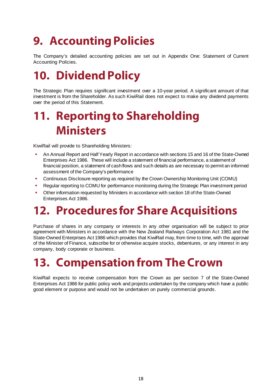## **9. Accounting Policies**

The Company's detailed accounting policies are set out in Appendix One: Statement of Current Accounting Policies.

### **10. Dividend Policy**

The Strategic Plan requires significant investment over a 10-year period. A significant amount of that investment is from the Shareholder. As such KiwiRail does not expect to make any dividend payments over the period of this Statement.

### **11. Reporting to Shareholding Ministers**

KiwiRail will provide to Shareholding Ministers:

- An Annual Report and Half Yearly Report in accordance with sections 15 and 16 of the State-Owned Enterprises Act 1986. These will include a statement of financial performance, a statement of financial position, a statement of cash flows and such details as are necessary to permit an informed assessment of the Company's performance
- Continuous Disclosure reporting as required by the Crown Ownership Monitoring Unit (COMU)
- Regular reporting to COMU for performance monitoring during the Strategic Plan investment period
- Other information requested by Ministers in accordance with section 18 of the State-Owned Enterprises Act 1986.

### **12. Procedures for Share Acquisitions**

Purchase of shares in any company or interests in any other organisation will be subject to prior agreement with Ministers in accordance with the New Zealand Railways Corporation Act 1981 and the State-Owned Enterprises Act 1986 which provides that KiwiRail may, from time to time, with the approval of the Minister of Finance, subscribe for or otherwise acquire stocks, debentures, or any interest in any company, body corporate or business.

### **13. Compensation from The Crown**

KiwiRail expects to receive compensation from the Crown as per section 7 of the State-Owned Enterprises Act 1986 for public policy work and projects undertaken by the company which have a public good element or purpose and would not be undertaken on purely commercial grounds.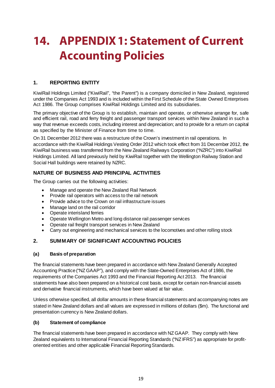### **14. APPENDIX1: Statement of Current Accounting Policies**

#### **1. REPORTING ENTITY**

KiwiRail Holdings Limited ("KiwiRail", "the Parent") is a company domiciled in New Zealand, registered under the Companies Act 1993 and is included within the First Schedule of the State Owned Enterprises Act 1986. The Group comprises KiwiRail Holdings Limited and its subsidiaries.

The primary objective of the Group is to establish, maintain and operate, or otherwise arrange for, safe and efficient rail, road and ferry freight and passenger transport services within New Zealand in such a way that revenue exceeds costs, including interest and depreciation; and to provide for a return on capital as specified by the Minister of Finance from time to time.

On 31 December 2012 there was a restructure of the Crown's investment in rail operations. In accordance with the KiwiRail Holdings Vesting Order 2012 which took effect from 31 December 2012, the KiwiRail business was transferred from the New Zealand Railways Corporation ("NZRC") into KiwiRail Holdings Limited. All land previously held by KiwiRail together with the Wellington Railway Station and Social Hall buildings were retained by NZRC.

#### **NATURE OF BUSINESS AND PRINCIPAL ACTIVITIES**

The Group carries out the following activities:

- Manage and operate the New Zealand Rail Network
- Provide rail operators with access to the rail network
- Provide advice to the Crown on rail infrastructure issues
- Manage land on the rail corridor
- Operate interisland ferries
- Operate Wellington Metro and long distance rail passenger services
- Operate rail freight transport services in New Zealand
- Carry out engineering and mechanical services to the locomotives and other rolling stock

#### **2. SUMMARY OF SIGNIFICANT ACCOUNTING POLICIES**

#### **(a) Basis of preparation**

The financial statements have been prepared in accordance with New Zealand Generally Accepted Accounting Practice ("NZ GAAP"), and comply with the State-Owned Enterprises Act of 1986, the requirements of the Companies Act 1993 and the Financial Reporting Act 2013. The financial statements have also been prepared on a historical cost basis, except for certain non-financial assets and derivative financial instruments, which have been valued at fair value.

Unless otherwise specified, all dollar amounts in these financial statements and accompanying notes are stated in New Zealand dollars and all values are expressed in millions of dollars (\$m). The functional and presentation currency is New Zealand dollars.

#### **(b) Statement of compliance**

The financial statements have been prepared in accordance with NZ GAAP. They comply with New Zealand equivalents to International Financial Reporting Standards ("NZ IFRS") as appropriate for profitoriented entities and other applicable Financial Reporting Standards.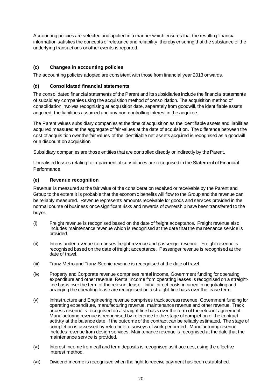Accounting policies are selected and applied in a manner which ensures that the resulting financial information satisfies the concepts of relevance and reliability, thereby ensuring that the substance of the underlying transactions or other events is reported.

#### **(c) Changes in accounting policies**

The accounting policies adopted are consistent with those from financial year 2013 onwards.

#### **(d) Consolidated financial statements**

The consolidated financial statements of the Parent and its subsidiaries include the financial statements of subsidiary companies using the acquisition method of consolidation. The acquisition method of consolidation involves recognising at acquisition date, separately from goodwill, the identifiable assets acquired, the liabilities assumed and any non-controlling interest in the acquiree.

The Parent values subsidiary companies at the time of acquisition as the identifiable assets and liabilities acquired measured at the aggregate of fair values at the date of acquisition. The difference between the cost of acquisition over the fair values of the identifiable net assets acquired is recognised as a goodwill or a discount on acquisition.

Subsidiary companies are those entities that are controlled directly or indirectly by the Parent.

Unrealised losses relating to impairment of subsidiaries are recognised in the Statement of Financial Performance.

#### **(e) Revenue recognition**

Revenue is measured at the fair value of the consideration received or receivable by the Parent and Group to the extent it is probable that the economic benefits will flow to the Group and the revenue can be reliably measured. Revenue represents amounts receivable for goods and services provided in the normal course of business once significant risks and rewards of ownership have been transferred to the buyer.

- (i) Freight revenue is recognised based on the date of freight acceptance. Freight revenue also includes maintenance revenue which is recognised at the date that the maintenance service is provided.
- (ii) Interislander revenue comprises freight revenue and passenger revenue. Freight revenue is recognised based on the date of freight acceptance. Passenger revenue is recognised at the date of travel.
- (iii) Tranz Metro and Tranz Scenic revenue is recognised at the date of travel.
- (iv) Property and Corporate revenue comprises rental income, Government funding for operating expenditure and other revenue. Rental income from operating leases is recognised on a straightline basis over the term of the relevant lease. Initial direct costs incurred in negotiating and arranging the operating lease are recognised on a straight-line basis over the lease term.
- (v) Infrastructure and Engineering revenue comprises track access revenue, Government funding for operating expenditure, manufacturing revenue, maintenance revenue and other revenue. Track access revenue is recognised on a straight-line basis over the term of the relevant agreement. Manufacturing revenue is recognised by reference to the stage of completion of the contract activity at the balance date, if the outcome of the contract can be reliably estimated. The stage of completion is assessed by reference to surveys of work performed. Manufacturing revenue includes revenue from design services. Maintenance revenue is recognised at the date that the maintenance service is provided.
- (vi) Interest income from call and term deposits is recognised as it accrues, using the effective interest method.
- (vii) Dividend income is recognised when the right to receive payment has been established.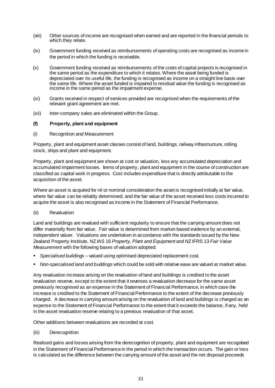- (viii) Other sources of income are recognised when earned and are reported in the financial periods to which they relate.
- (ix) Government funding received as reimbursements of operating costs are recognised as income in the period in which the funding is receivable.
- (x) Government funding received as reimbursements of the costs of capital projects is recognised in the same period as the expenditure to which it relates. Where the asset being funded is depreciated over its useful life, the funding is recognised as income on a straight line basis over the same life. Where the asset funded is impaired to residual value the funding is recognised as income in the same period as the impairment expense.
- (xi) Grants received in respect of services provided are recognised when the requirements of the relevant grant agreement are met.
- (xii) Inter-company sales are eliminated within the Group.

#### **(f) Property, plant and equipment**

(i) Recognition and Measurement

Property, plant and equipment asset classes consist of land, buildings, railway infrastructure, rolling stock, ships and plant and equipment.

Property, plant and equipment are shown at cost or valuation, less any accumulated depreciation and accumulated impairment losses. Items of property, plant and equipment in the course of construction are classified as capital work in progress. Cost includes expenditure that is directly attributable to the acquisition of the asset.

Where an asset is acquired for nil or nominal consideration the asset is recognised initially at fair value, where fair value can be reliably determined; and the fair value of the asset received less costs incurred to acquire the asset is also recognised as income in the Statement of Financial Performance.

(ii) Revaluation

Land and buildings are revalued with sufficient regularity to ensure that the carrying amount does not differ materially from fair value. Fair value is determined from market-based evidence by an external, independent valuer. Valuations are undertaken in accordance with the standards issued by the New Zealand Property Institute, NZ IAS 16 *Property, Plant and Equipment* and NZ IFRS 13 *Fair Value Measurement* with the following bases of valuation adopted:

- *Specialised buildings*  valued using optimised depreciated replacement cost.
- *Non-specialised land and buildings* which could be sold with relative ease are valued at market value.

Any revaluation increase arising on the revaluation of land and buildings is credited to the asset revaluation reserve, except to the extent that it reverses a revaluation decrease for the same asset previously recognised as an expense in the Statement of Financial Performance, in which case the increase is credited to the Statement of Financial Performance to the extent of the decrease previously charged. A decrease in carrying amount arising on the revaluation of land and buildings is charged as an expense to the Statement of Financial Performance to the extent that it exceeds the balance, if any, held in the asset revaluation reserve relating to a previous revaluation of that asset.

Other additions between revaluations are recorded at cost.

(iii) Derecognition

Realised gains and losses arising from the derecognition of property, plant and equipment are recognised in the Statement of Financial Performance in the period in which the transaction occurs. The gain or loss is calculated as the difference between the carrying amount of the asset and the net disposal proceeds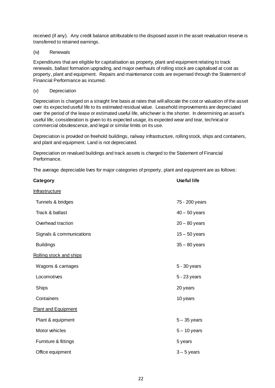received (if any). Any credit balance attributable to the disposed asset in the asset revaluation reserve is transferred to retained earnings.

(iv) Renewals

Expenditures that are eligible for capitalisation as property, plant and equipment relating to track renewals, ballast formation upgrading, and major overhauls of rolling stock are capitalised at cost as property, plant and equipment. Repairs and maintenance costs are expensed through the Statement of Financial Performance as incurred.

(v) Depreciation

Depreciation is charged on a straight line basis at rates that will allocate the cost or valuation of the asset over its expected useful life to its estimated residual value. Leasehold improvements are depreciated over the period of the lease or estimated useful life, whichever is the shorter. In determining an asset's useful life, consideration is given to its expected usage, its expected wear and tear, technical or commercial obsolescence, and legal or similar limits on its use.

Depreciation is provided on freehold buildings, railway infrastructure, rolling stock, ships and containers, and plant and equipment. Land is not depreciated.

Depreciation on revalued buildings and track assets is charged to the Statement of Financial Performance.

The average depreciable lives for major categories of property, plant and equipment are as follows:

| Category                   | <b>Useful life</b> |
|----------------------------|--------------------|
| <b>Infrastructure</b>      |                    |
| Tunnels & bridges          | 75 - 200 years     |
| Track & ballast            | $40 - 50$ years    |
| Overhead traction          | $20 - 80$ years    |
| Signals & communications   | $15 - 50$ years    |
| <b>Buildings</b>           | $35 - 80$ years    |
| Rolling stock and ships    |                    |
| Wagons & carriages         | 5 - 30 years       |
| Locomotives                | 5 - 23 years       |
| <b>Ships</b>               | 20 years           |
| Containers                 | 10 years           |
| <b>Plant and Equipment</b> |                    |
| Plant & equipment          | $5 - 35$ years     |
| Motor vehicles             | $5 - 10$ years     |
| Furniture & fittings       | 5 years            |
| Office equipment           | $3 - 5$ years      |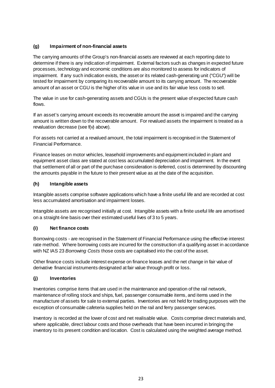#### **(g) Impairment of non-financial assets**

The carrying amounts of the Group's non-financial assets are reviewed at each reporting date to determine if there is any indication of impairment. External factors such as changes in expected future processes, technology and economic conditions are also monitored to assess for indicators of impairment. If any such indication exists, the asset or its related cash-generating unit ("CGU") will be tested for impairment by comparing its recoverable amount to its carrying amount. The recoverable amount of an asset or CGU is the higher of its value in use and its fair value less costs to sell.

The value in use for cash-generating assets and CGUs is the present value of expected future cash flows.

If an asset's carrying amount exceeds its recoverable amount the asset is impaired and the carrying amount is written down to the recoverable amount. For revalued assets the impairment is treated as a revaluation decrease (see f(v) above).

For assets not carried at a revalued amount, the total impairment is recognised in the Statement of Financial Performance.

Finance leases on motor vehicles, leasehold improvements and equipment included in plant and equipment asset class are stated at cost less accumulated depreciation and impairment. In the event that settlement of all or part of the purchase consideration is deferred, cost is determined by discounting the amounts payable in the future to their present value as at the date of the acquisition.

#### **(h) Intangible assets**

Intangible assets comprise software applications which have a finite useful life and are recorded at cost less accumulated amortisation and impairment losses.

Intangible assets are recognised initially at cost. Intangible assets with a finite useful life are amortised on a straight-line basis over their estimated useful lives of 3 to 5 years.

#### **(i) Net finance costs**

Borrowing costs - are recognised in the Statement of Financial Performance using the effective interest rate method. Where borrowing costs are incurred for the construction of a qualifying asset in accordance with NZ IAS 23 *Borrowing Costs* those costs are capitalised into the cost of the asset.

Other finance costs include interest expense on finance leases and the net change in fair value of derivative financial instruments designated at fair value through profit or loss.

#### **(j) Inventories**

Inventories comprise items that are used in the maintenance and operation of the rail network, maintenance of rolling stock and ships, fuel, passenger consumable items, and items used in the manufacture of assets for sale to external parties. Inventories are not held for trading purposes with the exception of consumable cafeteria supplies held on the rail and ferry passenger services.

Inventory is recorded at the lower of cost and net realisable value. Costs comprise direct materials and, where applicable, direct labour costs and those overheads that have been incurred in bringing the inventory to its present condition and location. Cost is calculated using the weighted average method.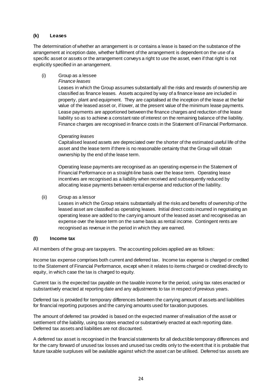#### **(k) Leases**

The determination of whether an arrangement is or contains a lease is based on the substance of the arrangement at inception date, whether fulfilment of the arrangement is dependent on the use of a specific asset or assets or the arrangement conveys a right to use the asset, even if that right is not explicitly specified in an arrangement.

(i) Group as a lessee

#### *Finance leases*

Leases in which the Group assumes substantially all the risks and rewards of ownership are classified as finance leases. Assets acquired by way of a finance lease are included in property, plant and equipment. They are capitalised at the inception of the lease at the fair value of the leased asset or, if lower, at the present value of the minimum lease payments. Lease payments are apportioned between the finance charges and reduction of the lease liability so as to achieve a constant rate of interest on the remaining balance of the liability. Finance charges are recognised in finance costs in the Statement of Financial Performance.

#### *Operating leases*

Capitalised leased assets are depreciated over the shorter of the estimated useful life of the asset and the lease term if there is no reasonable certainty that the Group will obtain ownership by the end of the lease term.

Operating lease payments are recognised as an operating expense in the Statement of Financial Performance on a straight-line basis over the lease term. Operating lease incentives are recognised as a liability when received and subsequently reduced by allocating lease payments between rental expense and reduction of the liability.

#### (ii) Group as a lessor

Leases in which the Group retains substantially all the risks and benefits of ownership of the leased asset are classified as operating leases. Initial direct costs incurred in negotiating an operating lease are added to the carrying amount of the leased asset and recognised as an expense over the lease term on the same basis as rental income. Contingent rents are recognised as revenue in the period in which they are earned.

#### **(l) Income tax**

All members of the group are taxpayers. The accounting policies applied are as follows:

Income tax expense comprises both current and deferred tax. Income tax expense is charged or credited to the Statement of Financial Performance, except when it relates to items charged or credited directly to equity, in which case the tax is charged to equity.

Current tax is the expected tax payable on the taxable income for the period, using tax rates enacted or substantively enacted at reporting date and any adjustments to tax in respect of previous years.

Deferred tax is provided for temporary differences between the carrying amount of assets and liabilities for financial reporting purposes and the carrying amounts used for taxation purposes.

The amount of deferred tax provided is based on the expected manner of realisation of the asset or settlement of the liability, using tax rates enacted or substantively enacted at each reporting date. Deferred tax assets and liabilities are not discounted.

A deferred tax asset is recognised in the financial statements for all deductible temporary differences and for the carry forward of unused tax losses and unused tax credits only to the extent that it is probable that future taxable surpluses will be available against which the asset can be utilised. Deferred tax assets are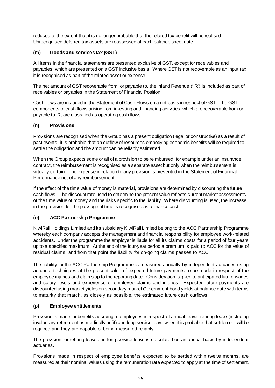reduced to the extent that it is no longer probable that the related tax benefit will be realised. Unrecognised deferred tax assets are reassessed at each balance sheet date.

#### **(m) Goods and services tax (GST)**

All items in the financial statements are presented exclusive of GST, except for receivables and payables, which are presented on a GST inclusive basis. Where GST is not recoverable as an input tax it is recognised as part of the related asset or expense.

The net amount of GST recoverable from, or payable to, the Inland Revenue ('IR') is included as part of receivables or payables in the Statement of Financial Position.

Cash flows are included in the Statement of Cash Flows on a net basis in respect of GST. The GST components of cash flows arising from investing and financing activities, which are recoverable from or payable to IR, are classified as operating cash flows.

#### **(n) Provisions**

Provisions are recognised when the Group has a present obligation (legal or constructive) as a result of past events, it is probable that an outflow of resources embodying economic benefits will be required to settle the obligation and the amount can be reliably estimated.

When the Group expects some or all of a provision to be reimbursed, for example under an insurance contract, the reimbursement is recognised as a separate asset but only when the reimbursement is virtually certain. The expense in relation to any provision is presented in the Statement of Financial Performance net of any reimbursement.

If the effect of the time value of money is material, provisions are determined by discounting the future cash flows. The discount rate used to determine the present value reflects current market assessments of the time value of money and the risks specific to the liability. Where discounting is used, the increase in the provision for the passage of time is recognised as a finance cost.

#### **(o) ACC Partnership Programme**

KiwiRail Holdings Limited and its subsidiary KiwiRail Limited belong to the ACC Partnership Programme whereby each company accepts the management and financial responsibility for employee work-related accidents. Under the programme the employer is liable for all its claims costs for a period of four years up to a specified maximum. At the end of the four-year period a premium is paid to ACC for the value of residual claims, and from that point the liability for on-going claims passes to ACC.

The liability for the ACC Partnership Programme is measured annually by independent actuaries using actuarial techniques at the present value of expected future payments to be made in respect of the employee injuries and claims up to the reporting date. Consideration is given to anticipated future wages and salary levels and experience of employee claims and injuries. Expected future payments are discounted using market yields on secondary market Government bond yields at balance date with terms to maturity that match, as closely as possible, the estimated future cash outflows.

#### **(p) Employee entitlements**

Provision is made for benefits accruing to employees in respect of annual leave, retiring leave (including involuntary retirement as medically unfit) and long service leave when it is probable that settlement will be required and they are capable of being measured reliably.

The provision for retiring leave and long-service leave is calculated on an annual basis by independent actuaries.

Provisions made in respect of employee benefits expected to be settled within twelve months, are measured at their nominal values using the remuneration rate expected to apply at the time of settlement.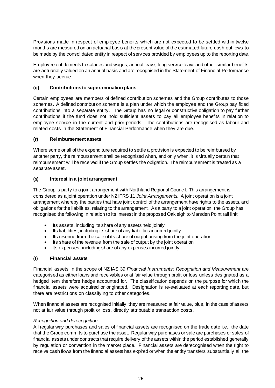Provisions made in respect of employee benefits which are not expected to be settled within twelve months are measured on an actuarial basis at the present value of the estimated future cash outflows to be made by the consolidated entity in respect of services provided by employees up to the reporting date.

Employee entitlements to salaries and wages, annual leave, long service leave and other similar benefits are actuarially valued on an annual basis and are recognised in the Statement of Financial Performance when they accrue.

#### **(q) Contributions to superannuation plans**

Certain employees are members of defined contribution schemes and the Group contributes to those schemes. A defined contribution scheme is a plan under which the employee and the Group pay fixed contributions into a separate entity. The Group has no legal or constructive obligation to pay further contributions if the fund does not hold sufficient assets to pay all employee benefits in relation to employee service in the current and prior periods. The contributions are recognised as labour and related costs in the Statement of Financial Performance when they are due.

#### **(r) Reimbursement assets**

Where some or all of the expenditure required to settle a provision is expected to be reimbursed by another party, the reimbursement shall be recognised when, and only when, it is virtually certain that reimbursement will be received if the Group settles the obligation. The reimbursement is treated as a separate asset.

#### **(s) Interest in a joint arrangement**

The Group is party to a joint arrangement with Northland Regional Council. This arrangement is considered as a joint operation under NZ IFRS 11 *Joint Arrangements.* A joint operation is a joint arrangement whereby the parties that have joint control of the arrangement have rights to the assets, and obligations for the liabilities, relating to the arrangement. As a party to a joint operation, the Group has recognised the following in relation to its interest in the proposed Oakleigh to Marsden Point rail link:

- Its assets, including its share of any assets held jointly
- Its liabilities, including its share of any liabilities incurred jointly
- Its revenue from the sale of its share of output arising from the joint operation
- Its share of the revenue from the sale of output by the joint operation
- Its expenses, including share of any expenses incurred jointly

#### **(t) Financial assets**

Financial assets in the scope of NZ IAS 39 *Financial Instruments: Recognition and Measurement* are categorised as either loans and receivables or at fair value through profit or loss unless designated as a hedged item therefore hedge accounted for. The classification depends on the purpose for which the financial assets were acquired or originated. Designation is re-evaluated at each reporting date, but there are restrictions on classifying to other categories.

When financial assets are recognised initially, they are measured at fair value, plus, in the case of assets not at fair value through profit or loss, directly attributable transaction costs.

#### *Recognition and derecognition*

All regular way purchases and sales of financial assets are recognised on the trade date i.e., the date that the Group commits to purchase the asset. Regular way purchases or sale are purchases or sales of financial assets under contracts that require delivery of the assets within the period established generally by regulation or convention in the market place. Financial assets are derecognised when the right to receive cash flows from the financial assets has expired or when the entity transfers substantially all the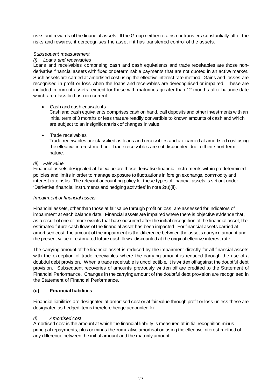risks and rewards of the financial assets. If the Group neither retains nor transfers substantially all of the risks and rewards, it derecognises the asset if it has transferred control of the assets.

#### *Subsequent measurement*

#### *(i) Loans and receivables*

Loans and receivables comprising cash and cash equivalents and trade receivables are those nonderivative financial assets with fixed or determinable payments that are not quoted in an active market. Such assets are carried at amortised cost using the effective interest rate method. Gains and losses are recognised in profit or loss when the loans and receivables are derecognised or impaired. These are included in current assets, except for those with maturities greater than 12 months after balance date which are classified as non-current.

• Cash and cash equivalents

Cash and cash equivalents comprises cash on hand, call deposits and other investments with an initial term of 3 months or less that are readily convertible to known amounts of cash and which are subject to an insignificant risk of changes in value.

• Trade receivables

Trade receivables are classified as loans and receivables and are carried at amortised cost using the effective interest method. Trade receivables are not discounted due to their short-term nature.

#### *(ii) Fair value*

Financial assets designated at fair value are those derivative financial instruments within predetermined policies and limits in order to manage exposure to fluctuations in foreign exchange, commodity and interest rate risks. The relevant accounting policy for these types of financial assets is set out under 'Derivative financial instruments and hedging activities' in note 2(u)(ii).

#### *Impairment of financial assets*

Financial assets, other than those at fair value through profit or loss, are assessed for indicators of impairment at each balance date. Financial assets are impaired where there is objective evidence that, as a result of one or more events that have occurred after the initial recognition of the financial asset, the estimated future cash flows of the financial asset has been impacted. For financial assets carried at amortised cost, the amount of the impairment is the difference between the asset's carrying amount and the present value of estimated future cash flows, discounted at the original effective interest rate.

The carrying amount of the financial asset is reduced by the impairment directly for all financial assets with the exception of trade receivables where the carrying amount is reduced through the use of a doubtful debt provision. When a trade receivable is uncollectible, it is written off against the doubtful debt provision. Subsequent recoveries of amounts previously written off are credited to the Statement of Financial Performance. Changes in the carrying amount of the doubtful debt provision are recognised in the Statement of Financial Performance.

#### **(u) Financial liabilities**

Financial liabilities are designated at amortised cost or at fair value through profit or loss unless these are designated as hedged items therefore hedge accounted for.

#### *(i) Amortised cost*

Amortised cost is the amount at which the financial liability is measured at initial recognition minus principal repayments, plus or minus the cumulative amortisation using the effective interest method of any difference between the initial amount and the maturity amount.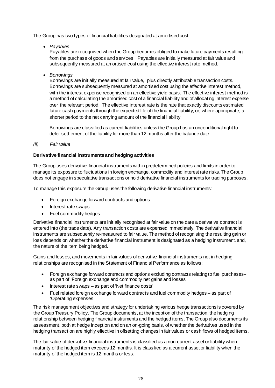The Group has two types of financial liabilities designated at amortised cost

• *Payables*

Payables are recognised when the Group becomes obliged to make future payments resulting from the purchase of goods and services. Payables are initially measured at fair value and subsequently measured at amortised cost using the effective interest rate method.

• *Borrowings*

Borrowings are initially measured at fair value, plus directly attributable transaction costs. Borrowings are subsequently measured at amortised cost using the effective interest method, with the interest expense recognised on an effective yield basis. The effective interest method is a method of calculating the amortised cost of a financial liability and of allocating interest expense over the relevant period. The effective interest rate is the rate that exactly discounts estimated future cash payments through the expected life of the financial liability, or, where appropriate, a shorter period to the net carrying amount of the financial liability.

Borrowings are classified as current liabilities unless the Group has an unconditional right to defer settlement of the liability for more than 12 months after the balance date.

*(ii) Fair value* 

#### **Derivative financial instruments and hedging activities**

The Group uses derivative financial instruments within predetermined policies and limits in order to manage its exposure to fluctuations in foreign exchange, commodity and interest rate risks. The Group does not engage in speculative transactions or hold derivative financial instruments for trading purposes.

To manage this exposure the Group uses the following derivative financial instruments:

- Foreign exchange forward contracts and options
- Interest rate swaps
- Fuel commodity hedges

Derivative financial instruments are initially recognised at fair value on the date a derivative contract is entered into (the trade date). Any transaction costs are expensed immediately. The derivative financial instruments are subsequently re-measured to fair value. The method of recognising the resulting gain or loss depends on whether the derivative financial instrument is designated as a hedging instrument, and, the nature of the item being hedged.

Gains and losses, and movements in fair values of derivative financial instruments not in hedging relationships are recognised in the Statement of Financial Performance as follows:

- Foreign exchange forward contracts and options excluding contracts relating to fuel purchases– as part of 'Foreign exchange and commodity net gains and losses'
- Interest rate swaps as part of 'Net finance costs'
- Fuel related foreign exchange forward contracts and fuel commodity hedges as part of 'Operating expenses'

The risk management objectives and strategy for undertaking various hedge transactions is covered by the Group Treasury Policy. The Group documents, at the inception of the transaction, the hedging relationship between hedging financial instruments and the hedged items. The Group also documents its assessment, both at hedge inception and on an on-going basis, of whether the derivatives used in the hedging transaction are highly effective in offsetting changes in fair values or cash flows of hedged items.

The fair value of derivative financial instruments is classified as a non-current asset or liability when maturity of the hedged item exceeds 12 months. It is classified as a current asset or liability when the maturity of the hedged item is 12 months or less.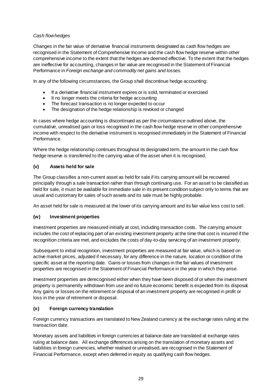#### *Cash flow hedges*

Changes in the fair value of derivative financial instruments designated as cash flow hedges are recognised in the Statement of Comprehensive Income and the cash flow hedge reserve within other comprehensive income to the extent that the hedges are deemed effective. To the extent that the hedges are ineffective for accounting, changes in fair value are recognised in the Statement of Financial Performance in *Foreign exchange and commodity net gains and losses*.

In any of the following circumstances, the Group shall discontinue hedge accounting:

- If a derivative financial instrument expires or is sold, terminated or exercised
- It no longer meets the criteria for hedge accounting
- The forecast transaction is no longer expected to occur
- The designation of the hedge relationship is revoked or changed

In cases where hedge accounting is discontinued as per the circumstance outlined above, the cumulative, unrealised gain or loss recognised in the cash flow hedge reserve in other comprehensive income with respect to the derivative instrument is recognised immediately in the Statement of Financial Performance.

Where the hedge relationship continues throughout its designated term, the amount in the cash flow hedge reserve is transferred to the carrying value of the asset when it is recognised.

#### **(v) Assets held for sale**

The Group classifies a non-current asset as held for sale if its carrying amount will be recovered principally through a sale transaction rather than through continuing use. For an asset to be classified as held for sale, it must be available for immediate sale in its present condition subject only to terms that are usual and customary for sales of such assets and its sale must be highly probable.

An asset held for sale is measured at the lower of its carrying amount and its fair value less cost to sell.

#### **(w) Investment properties**

Investment properties are measured initially at cost, including transaction costs. The carrying amount includes the cost of replacing part of an existing investment property at the time that cost is incurred if the recognition criteria are met, and excludes the costs of day-to-day servicing of an investment property.

Subsequent to initial recognition, investment properties are measured at fair value, which is based on active market prices, adjusted if necessary, for any difference in the nature, location or condition of the specific asset at the reporting date. Gains or losses from changes in the fair values of investment properties are recognised in the Statement of Financial Performance in the year in which they arise.

Investment properties are derecognised either when they have been disposed of or when the investment property is permanently withdrawn from use and no future economic benefit is expected from its disposal. Any gains or losses on the retirement or disposal of an investment property are recognised in profit or loss in the year of retirement or disposal.

#### **(x) Foreign currency translation**

Foreign currency transactions are translated to New Zealand currency at the exchange rates ruling at the transaction date.

Monetary assets and liabilities in foreign currencies at balance date are translated at exchange rates ruling at balance date. All exchange differences arising on the translation of monetary assets and liabilities in foreign currencies, whether realised or unrealised, are recognised in the Statement of Financial Performance, except when deferred in equity as qualifying cash flow hedges.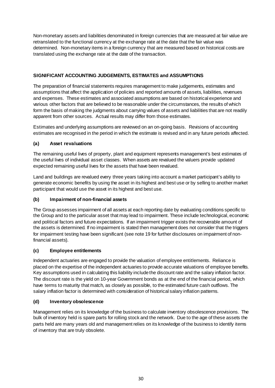Non-monetary assets and liabilities denominated in foreign currencies that are measured at fair value are retranslated to the functional currency at the exchange rate at the date that the fair value was determined. Non-monetary items in a foreign currency that are measured based on historical costs are translated using the exchange rate at the date of the transaction.

#### **SIGNIFICANT ACCOUNTING JUDGEMENTS, ESTIMATES and ASSUMPTIONS**

The preparation of financial statements requires management to make judgements, estimates and assumptions that affect the application of policies and reported amounts of assets, liabilities, revenues and expenses. These estimates and associated assumptions are based on historical experience and various other factors that are believed to be reasonable under the circumstances, the results of which form the basis of making the judgments about carrying values of assets and liabilities that are not readily apparent from other sources. Actual results may differ from those estimates.

Estimates and underlying assumptions are reviewed on an on-going basis. Revisions of accounting estimates are recognised in the period in which the estimate is revised and in any future periods affected.

#### **(a) Asset revaluations**

The remaining useful lives of property, plant and equipment represents management's best estimates of the useful lives of individual asset classes. When assets are revalued the valuers provide updated expected remaining useful lives for the assets that have been revalued.

Land and buildings are revalued every three years taking into account a market participant's ability to generate economic benefits by using the asset in its highest and best use or by selling to another market participant that would use the asset in its highest and best use.

#### **(b) Impairment of non-financial assets**

The Group assesses impairment of all assets at each reporting date by evaluating conditions specific to the Group and to the particular asset that may lead to impairment. These include technological, economic and political factors and future expectations. If an impairment trigger exists the recoverable amount of the assets is determined. If no impairment is stated then management does not consider that the triggers for impairment testing have been significant (see note 19 for further disclosures on impairment of nonfinancial assets).

#### **(c) Employee entitlements**

Independent actuaries are engaged to provide the valuation of employee entitlements. Reliance is placed on the expertise of the independent actuaries to provide accurate valuations of employee benefits. Key assumptions used in calculating this liability include the discount rate and the salary inflation factor. The discount rate is the yield on 10-year Government bonds as at the end of the financial period, which have terms to maturity that match, as closely as possible, to the estimated future cash outflows. The salary inflation factor is determined with consideration of historical salary inflation patterns.

#### **(d) Inventory obsolescence**

Management relies on its knowledge of the business to calculate inventory obsolescence provisions. The bulk of inventory held is spare parts for rolling stock and the network. Due to the age of these assets the parts held are many years old and management relies on its knowledge of the business to identify items of inventory that are truly obsolete.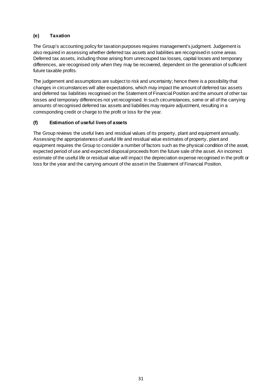#### **(e) Taxation**

The Group's accounting policy for taxation purposes requires management's judgment. Judgement is also required in assessing whether deferred tax assets and liabilities are recognised in some areas. Deferred tax assets, including those arising from unrecouped tax losses, capital losses and temporary differences, are recognised only when they may be recovered, dependent on the generation of sufficient future taxable profits.

The judgement and assumptions are subject to risk and uncertainty; hence there is a possibility that changes in circumstances will alter expectations, which may impact the amount of deferred tax assets and deferred tax liabilities recognised on the Statement of Financial Position and the amount of other tax losses and temporary differences not yet recognised. In such circumstances, some or all of the carrying amounts of recognised deferred tax assets and liabilities may require adjustment, resulting in a corresponding credit or charge to the profit or loss for the year.

#### **(f) Estimation of useful lives of assets**

The Group reviews the useful lives and residual values of its property, plant and equipment annually. Assessing the appropriateness of useful life and residual value estimates of property, plant and equipment requires the Group to consider a number of factors such as the physical condition of the asset, expected period of use and expected disposal proceeds from the future sale of the asset. An incorrect estimate of the useful life or residual value will impact the depreciation expense recognised in the profit or loss for the year and the carrying amount of the asset in the Statement of Financial Position.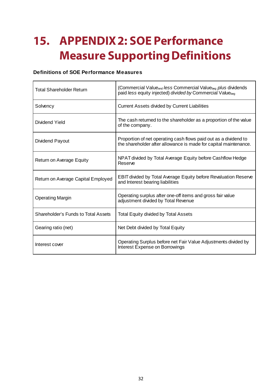### **15. APPENDIX2: SOE Performance Measure Supporting Definitions**

#### **Definitions of SOE Performance Measures**

| <b>Total Shareholder Return</b>     | (Commercial Value <sub>end</sub> less Commercial Value <sub>beg</sub> plus dividends<br>paid less equity injected) divided by Commercial Valuebeq |
|-------------------------------------|---------------------------------------------------------------------------------------------------------------------------------------------------|
| Solvency                            | Current Assets divided by Current Liabilities                                                                                                     |
| Dividend Yield                      | The cash returned to the shareholder as a proportion of the value<br>of the company.                                                              |
| Dividend Payout                     | Proportion of net operating cash flows paid out as a dividend to<br>the shareholder after allowance is made for capital maintenance.              |
| Return on Average Equity            | NPAT divided by Total Average Equity before Cashflow Hedge<br>Reserve                                                                             |
| Return on Average Capital Employed  | <b>EBIT divided by Total Average Equity before Revaluation Reserve</b><br>and Interest bearing liabilities                                        |
| <b>Operating Margin</b>             | Operating surplus after one-off items and gross fair value<br>adjustment divided by Total Revenue                                                 |
| Shareholder's Funds to Total Assets | <b>Total Equity divided by Total Assets</b>                                                                                                       |
| Gearing ratio (net)                 | Net Debt divided by Total Equity                                                                                                                  |
| Interest cover                      | Operating Surplus before net Fair Value Adjustments divided by<br>Interest Expense on Borrowings                                                  |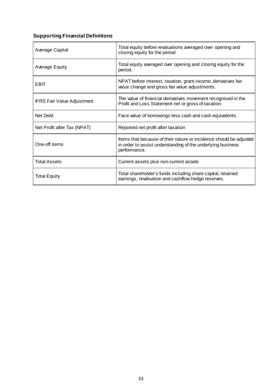#### **Supporting Financial Definitions**

| Average Capital                   | Total equity before revaluations averaged over opening and<br>closing equity for the period                                                       |
|-----------------------------------|---------------------------------------------------------------------------------------------------------------------------------------------------|
| Average Equity                    | Total equity averaged over opening and closing equity for the<br>period.                                                                          |
| EBIT                              | NPAT before interest, taxation, grant income, derivatives fair<br>value change and gross fair value adjustments.                                  |
| <b>IFRS Fair Value Adjustment</b> | The value of financial derivatives movement recognised in the<br>Profit and Loss Statement net or gross of taxation.                              |
| Net Debt                          | Face value of borrowings less cash and cash equivalents.                                                                                          |
| Net Profit after Tax (NPAT)       | Reported net profit after taxation                                                                                                                |
| One-off items                     | Items that because of their nature or incidence should be adjusted<br>in order to assist understanding of the underlying business<br>performance. |
| <b>Total Assets</b>               | Current assets plus non-current assets                                                                                                            |
| <b>Total Equity</b>               | Total shareholder's funds including share capital, retained<br>earnings, revaluation and cashflow hedge reserves.                                 |